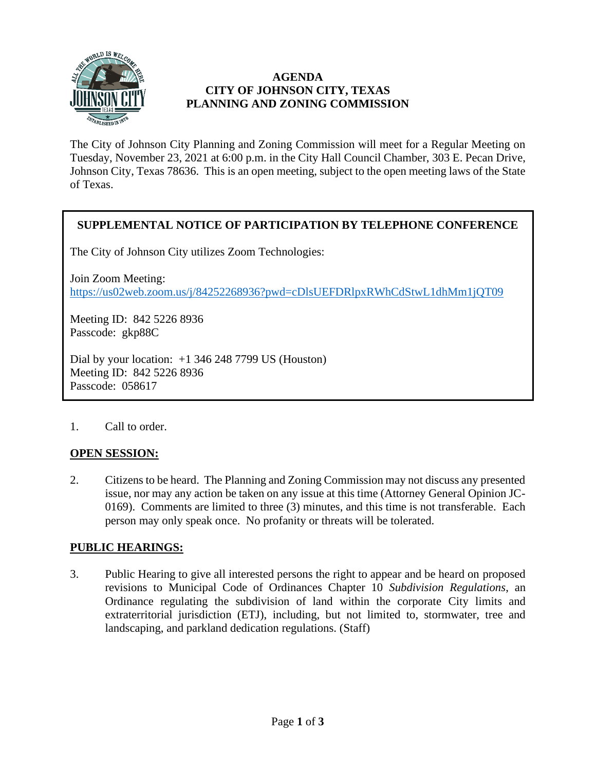

### **AGENDA CITY OF JOHNSON CITY, TEXAS PLANNING AND ZONING COMMISSION**

The City of Johnson City Planning and Zoning Commission will meet for a Regular Meeting on Tuesday, November 23, 2021 at 6:00 p.m. in the City Hall Council Chamber, 303 E. Pecan Drive, Johnson City, Texas 78636. This is an open meeting, subject to the open meeting laws of the State of Texas.

# **SUPPLEMENTAL NOTICE OF PARTICIPATION BY TELEPHONE CONFERENCE**

The City of Johnson City utilizes Zoom Technologies:

Join Zoom Meeting: <https://us02web.zoom.us/j/84252268936?pwd=cDlsUEFDRlpxRWhCdStwL1dhMm1jQT09>

Meeting ID: 842 5226 8936 Passcode: gkp88C

Dial by your location:  $+1$  346 248 7799 US (Houston) Meeting ID: 842 5226 8936 Passcode: 058617

#### 1. Call to order.

# **OPEN SESSION:**

2. Citizens to be heard. The Planning and Zoning Commission may not discuss any presented issue, nor may any action be taken on any issue at this time (Attorney General Opinion JC-0169). Comments are limited to three (3) minutes, and this time is not transferable. Each person may only speak once. No profanity or threats will be tolerated.

# **PUBLIC HEARINGS:**

3. Public Hearing to give all interested persons the right to appear and be heard on proposed revisions to Municipal Code of Ordinances Chapter 10 *Subdivision Regulations*, an Ordinance regulating the subdivision of land within the corporate City limits and extraterritorial jurisdiction (ETJ), including, but not limited to, stormwater, tree and landscaping, and parkland dedication regulations. (Staff)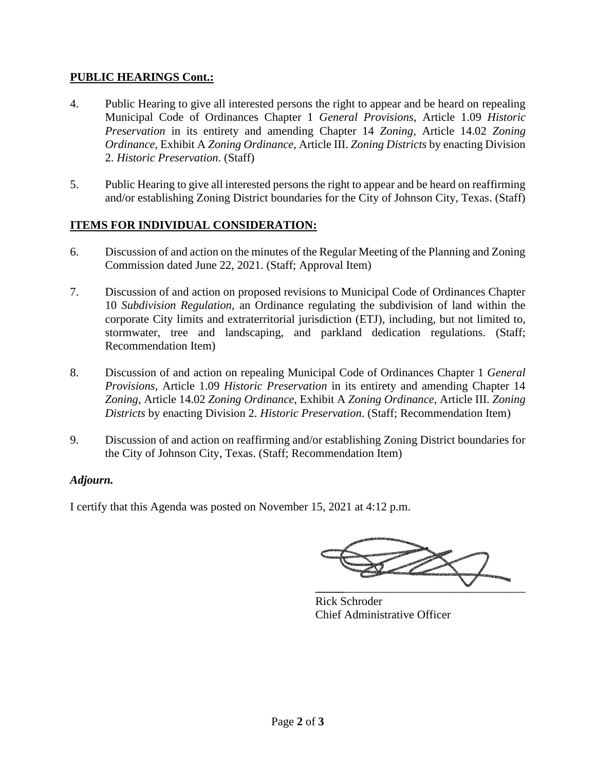### **PUBLIC HEARINGS Cont.:**

- 4. Public Hearing to give all interested persons the right to appear and be heard on repealing Municipal Code of Ordinances Chapter 1 *General Provisions*, Article 1.09 *Historic Preservation* in its entirety and amending Chapter 14 *Zoning*, Article 14.02 *Zoning Ordinance*, Exhibit A *Zoning Ordinance*, Article III. *Zoning Districts* by enacting Division 2. *Historic Preservation*. (Staff)
- 5. Public Hearing to give all interested persons the right to appear and be heard on reaffirming and/or establishing Zoning District boundaries for the City of Johnson City, Texas. (Staff)

# **ITEMS FOR INDIVIDUAL CONSIDERATION:**

- 6. Discussion of and action on the minutes of the Regular Meeting of the Planning and Zoning Commission dated June 22, 2021. (Staff; Approval Item)
- 7. Discussion of and action on proposed revisions to Municipal Code of Ordinances Chapter 10 *Subdivision Regulation*, an Ordinance regulating the subdivision of land within the corporate City limits and extraterritorial jurisdiction (ETJ), including, but not limited to, stormwater, tree and landscaping, and parkland dedication regulations. (Staff; Recommendation Item)
- 8. Discussion of and action on repealing Municipal Code of Ordinances Chapter 1 *General Provisions*, Article 1.09 *Historic Preservation* in its entirety and amending Chapter 14 *Zoning*, Article 14.02 *Zoning Ordinance*, Exhibit A *Zoning Ordinance*, Article III. *Zoning Districts* by enacting Division 2. *Historic Preservation*. (Staff; Recommendation Item)
- 9. Discussion of and action on reaffirming and/or establishing Zoning District boundaries for the City of Johnson City, Texas. (Staff; Recommendation Item)

#### *Adjourn.*

I certify that this Agenda was posted on November 15, 2021 at 4:12 p.m.

**\_\_\_\_\_**\_\_\_\_\_\_\_\_\_\_\_\_\_\_\_\_\_\_\_\_\_\_\_\_\_\_\_\_\_\_\_

Rick Schroder Chief Administrative Officer